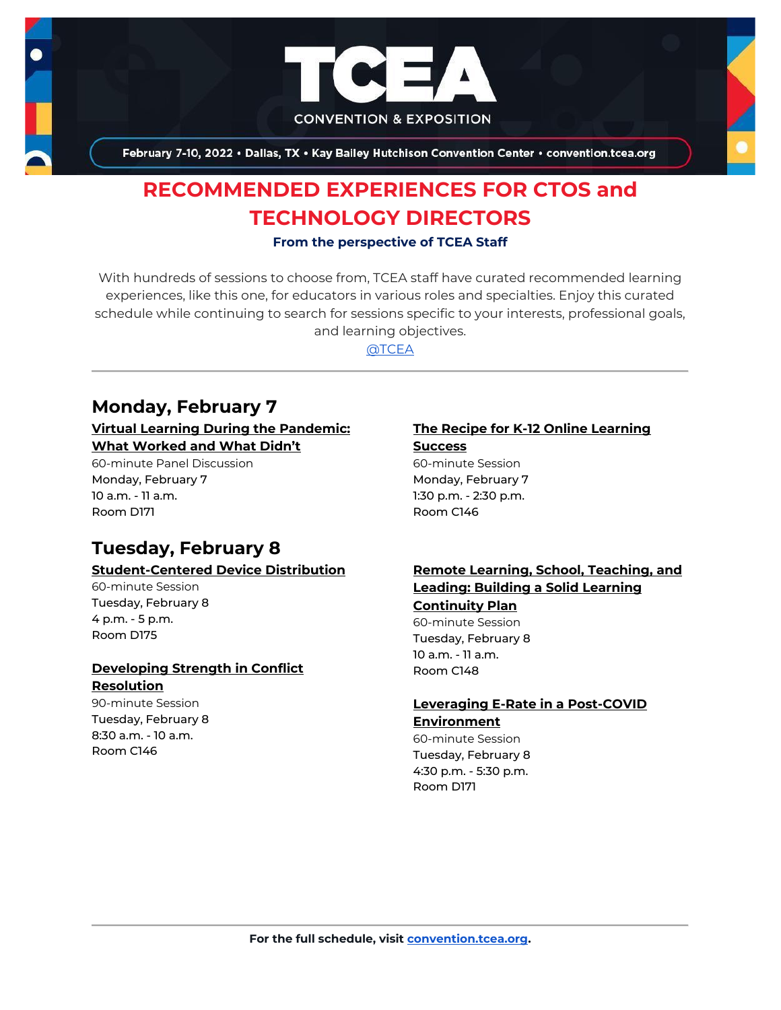

February 7-10, 2022 . Dallas, TX . Kay Bailey Hutchison Convention Center . convention.tcea.org

# **RECOMMENDED EXPERIENCES FOR CTOS and TECHNOLOGY DIRECTORS**

#### **From the perspective of TCEA Staff**

With hundreds of sessions to choose from, TCEA staff have curated recommended learning experiences, like this one, for educators in various roles and specialties. Enjoy this curated schedule while continuing to search for sessions specific to your interests, professional goals, and learning objectives.

[@TCEA](https://twitter.com/TCEA)

## **Monday, February 7**

#### **[Virtual Learning During the Pandemic:](https://register.tcea.org/2022/session_list.cfm?session_key=EE6A4B2B-F04D-A206-2B64-6C20D06E67C1&session_date=Monday,%20Feb%2007,%202022)  [What Worked and What Didn't](https://register.tcea.org/2022/session_list.cfm?session_key=EE6A4B2B-F04D-A206-2B64-6C20D06E67C1&session_date=Monday,%20Feb%2007,%202022)**

60-minute Panel Discussion Monday, February 7 10 a.m. - 11 a.m. Room D171

## **Tuesday, February 8**

#### **[Student-Centered Device Distribution](https://register.tcea.org/2022/session_list.cfm?session_key=024173CD-F04D-A206-2B64-FB8559BC8AAF&session_date=Tuesday,%20Feb%2008,%202022)**

60-minute Session Tuesday, February 8 4 p.m. - 5 p.m. Room D175

#### **[Developing Strength in Conflict](https://register.tcea.org/2022/session_list.cfm?session_key=023597B3-F04D-A206-2B64-D7763189C835&session_date=Tuesday,%20Feb%2008,%202022)  [Resolution](https://register.tcea.org/2022/session_list.cfm?session_key=023597B3-F04D-A206-2B64-D7763189C835&session_date=Tuesday,%20Feb%2008,%202022)**

90-minute Session Tuesday, February 8 8:30 a.m. - 10 a.m. Room C146

#### **[The Recipe for K-12 Online Learning](https://register.tcea.org/2022/session_list.cfm?session_key=024616E4-F04D-A206-2B64-7FC8CBE4278B&session_date=Monday,%20Feb%2007,%202022)  [Success](https://register.tcea.org/2022/session_list.cfm?session_key=024616E4-F04D-A206-2B64-7FC8CBE4278B&session_date=Monday,%20Feb%2007,%202022)**

60-minute Session Monday, February 7 1:30 p.m. - 2:30 p.m. Room C146

## **[Remote Learning, School, Teaching, and](https://register.tcea.org/2022/session_list.cfm?session_key=023F848E-F04D-A206-2B64-332CB61777E7&session_date=Tuesday,%20Feb%2008,%202022)  [Leading: Building a Solid Learning](https://register.tcea.org/2022/session_list.cfm?session_key=023F848E-F04D-A206-2B64-332CB61777E7&session_date=Tuesday,%20Feb%2008,%202022)  [Continuity Plan](https://register.tcea.org/2022/session_list.cfm?session_key=023F848E-F04D-A206-2B64-332CB61777E7&session_date=Tuesday,%20Feb%2008,%202022)**

60-minute Session Tuesday, February 8 10 a.m. - 11 a.m. Room C148

#### **[Leveraging E-Rate in a Post-COVID](https://register.tcea.org/2022/session_list.cfm?session_key=023CB4A0-F04D-A206-2B64-2C7252665BA6&session_date=Tuesday,%20Feb%2008,%202022)  [Environment](https://register.tcea.org/2022/session_list.cfm?session_key=023CB4A0-F04D-A206-2B64-2C7252665BA6&session_date=Tuesday,%20Feb%2008,%202022)**

60-minute Session Tuesday, February 8 4:30 p.m. - 5:30 p.m. Room D171